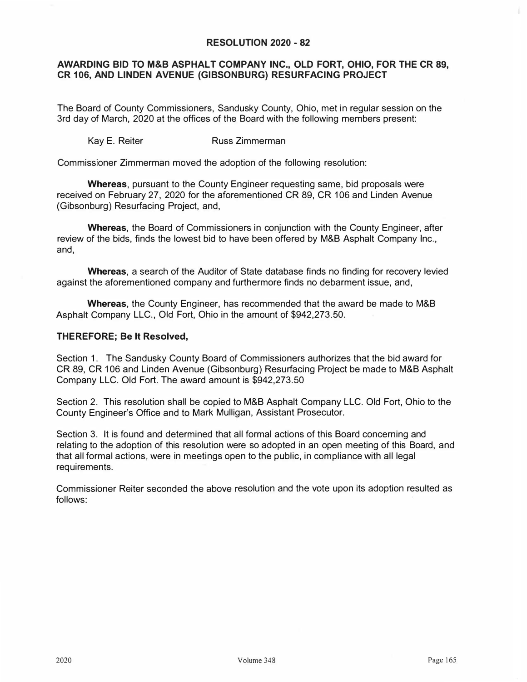## **RESOLUTION 2020 - 82**

## **AWARDING BID TO M&B ASPHALT COMPANY INC., OLD FORT, OHIO, FOR THE CR 89, CR 106, AND LINDEN AVENUE (GIBSONBURG) RESURFACING PROJECT**

The Board of County Commissioners, Sandusky County, Ohio, met in regular session on the 3rd day of March, 2020 at the offices of the Board with the following members present:

Kay E. Reiter **Russ Zimmerman** 

Commissioner Zimmerman moved the adoption of the following resolution:

**Whereas,** pursuant to the County Engineer requesting same, bid proposals were received on February 27, 2020 for the aforementioned CR 89, CR 106 and Linden Avenue (Gibsonburg) Resurfacing Project, and,

**Whereas,** the Board of Commissioners in conjunction with the County Engineer, after review of the bids, finds the lowest bid to have been offered by M&B Asphalt Company Inc., and,

**Whereas,** a search of the Auditor of State database finds no finding for recovery levied against the aforementioned company and furthermore finds no debarment issue, and,

**Whereas,** the County Engineer, has recommended that the award be made to M&B Asphalt Company LLC., Old Fort, Ohio in the amount of \$942,273.50.

## **THEREFORE; Be It Resolved,**

Section 1. The Sandusky County Board of Commissioners authorizes that the bid award for CR 89, CR 106 and Linden Avenue (Gibsonburg) Resurfacing Project be made to M&B Asphalt Company LLC. Old Fort. The award amount is \$942,273.50

Section 2. This resolution shall be copied to M&B Asphalt Company LLC. Old Fort, Ohio to the County Engineer's Office and to Mark Mulligan, Assistant Prosecutor.

Section 3. It is found and determined that all formal actions of this Board concerning and relating to the adoption of this resolution were so adopted in an open meeting of this Board, and that all formal actions, were in meetings open to the public, in compliance with all legal requirements.

Commissioner Reiter seconded the above resolution and the vote upon its adoption resulted as follows: